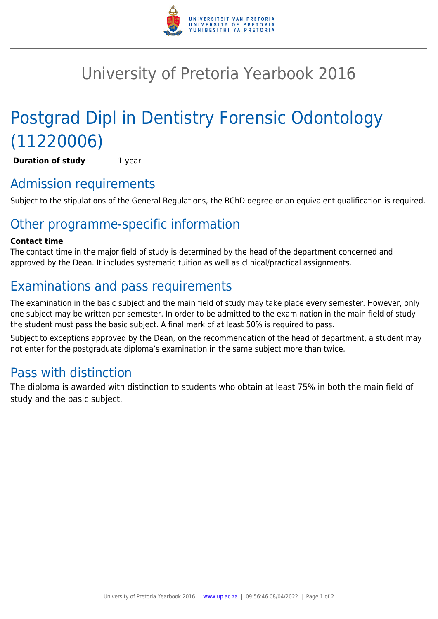

# University of Pretoria Yearbook 2016

# Postgrad Dipl in Dentistry Forensic Odontology (11220006)

**Duration of study** 1 year

## Admission requirements

Subject to the stipulations of the General Regulations, the BChD degree or an equivalent qualification is required.

## Other programme-specific information

#### **Contact time**

The contact time in the major field of study is determined by the head of the department concerned and approved by the Dean. It includes systematic tuition as well as clinical/practical assignments.

## Examinations and pass requirements

The examination in the basic subject and the main field of study may take place every semester. However, only one subject may be written per semester. In order to be admitted to the examination in the main field of study the student must pass the basic subject. A final mark of at least 50% is required to pass.

Subject to exceptions approved by the Dean, on the recommendation of the head of department, a student may not enter for the postgraduate diploma's examination in the same subject more than twice.

### Pass with distinction

The diploma is awarded with distinction to students who obtain at least 75% in both the main field of study and the basic subject.